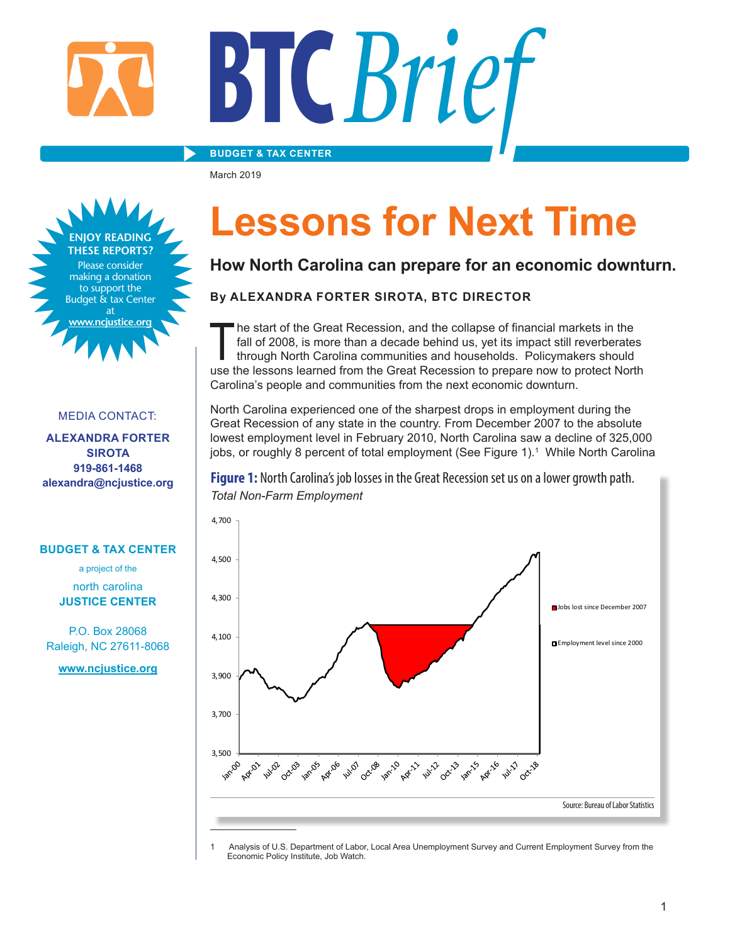#### **BUDGET & TAX CENTER**

March 2019

►



#### MEDIA CONTACT:

**ALEXANDRA FORTER SIROTA 919-861-1468 alexandra@ncjustice.org**

#### **BUDGET & TAX CENTER**

a project of the north carolina

**JUSTICE CENTER**

P.O. Box 28068 Raleigh, NC 27611-8068

**www.ncjustice.org**

## **Lessons for Next Time**

### **How North Carolina can prepare for an economic downturn.**

#### **By ALEXANDRA FORTER SIROTA, BTC DIRECTOR**

The start of the Great Recession, and the collapse of financial markets in the fall of 2008, is more than a decade behind us, yet its impact still reverberates through North Carolina communities and households. Policymaker he start of the Great Recession, and the collapse of financial markets in the fall of 2008, is more than a decade behind us, yet its impact still reverberates through North Carolina communities and households. Policymakers should Carolina's people and communities from the next economic downturn.

North Carolina experienced one of the sharpest drops in employment during the Great Recession of any state in the country. From December 2007 to the absolute lowest employment level in February 2010, North Carolina saw a decline of 325,000 jobs, or roughly 8 percent of total employment (See Figure 1).<sup>1</sup> While North Carolina

**Figure 1:** North Carolina's job losses in the Great Recession set us on a lower growth path. *Total Non-Farm Employment*



Analysis of U.S. Department of Labor, Local Area Unemployment Survey and Current Employment Survey from the Economic Policy Institute, Job Watch.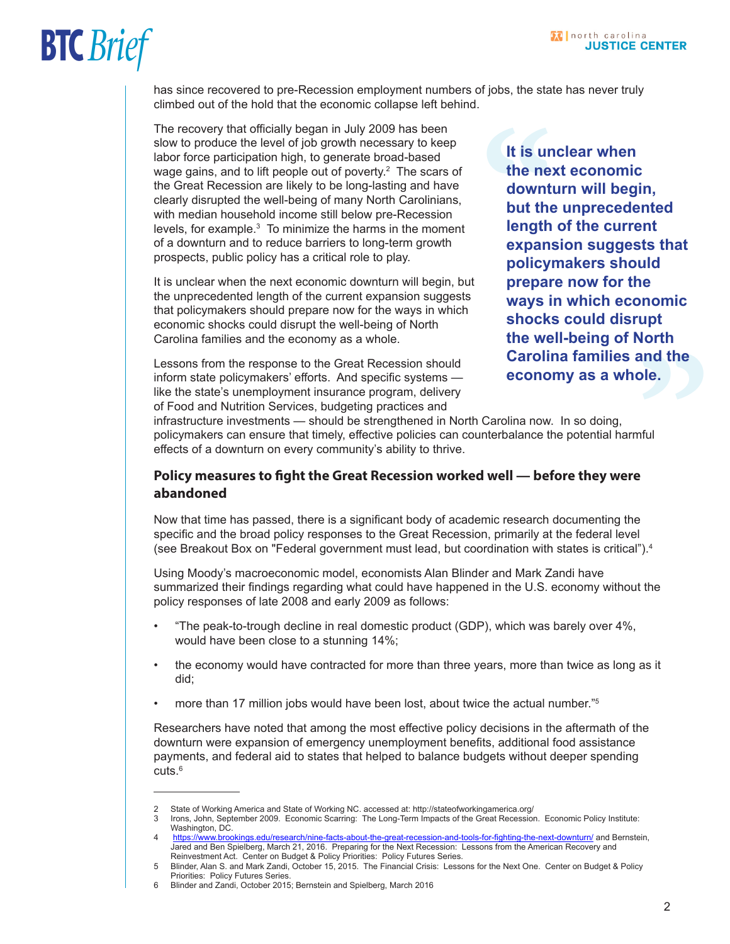has since recovered to pre-Recession employment numbers of jobs, the state has never truly climbed out of the hold that the economic collapse left behind.

The recovery that officially began in July 2009 has been slow to produce the level of job growth necessary to keep labor force participation high, to generate broad-based wage gains, and to lift people out of poverty. $^{\rm 2}$  The scars of the Great Recession are likely to be long-lasting and have clearly disrupted the well-being of many North Carolinians, with median household income still below pre-Recession levels, for example. $^3$  To minimize the harms in the moment of a downturn and to reduce barriers to long-term growth prospects, public policy has a critical role to play.

It is unclear when the next economic downturn will begin, but the unprecedented length of the current expansion suggests that policymakers should prepare now for the ways in which economic shocks could disrupt the well-being of North Carolina families and the economy as a whole.

Lessons from the response to the Great Recession should inform state policymakers' efforts. And specific systems like the state's unemployment insurance program, delivery of Food and Nutrition Services, budgeting practices and

**and the<br>ple.**<br><br>"<br>" It is un<br>the nex<br>downt<br>but the<br>length<br>expans<br>policyl<br>prepar **It is unclear when the next economic downturn will begin, but the unprecedented length of the current expansion suggests that policymakers should prepare now for the ways in which economic shocks could disrupt the well-being of North Carolina families and the economy as a whole.** 

infrastructure investments — should be strengthened in North Carolina now. In so doing, policymakers can ensure that timely, effective policies can counterbalance the potential harmful effects of a downturn on every community's ability to thrive.

#### **Policy measures to fight the Great Recession worked well — before they were abandoned**

Now that time has passed, there is a significant body of academic research documenting the specific and the broad policy responses to the Great Recession, primarily at the federal level (see Breakout Box on "Federal government must lead, but coordination with states is critical").<sup>4</sup>

Using Moody's macroeconomic model, economists Alan Blinder and Mark Zandi have summarized their findings regarding what could have happened in the U.S. economy without the policy responses of late 2008 and early 2009 as follows:

- "The peak-to-trough decline in real domestic product (GDP), which was barely over 4%, would have been close to a stunning 14%;
- the economy would have contracted for more than three years, more than twice as long as it did;
- more than 17 million jobs would have been lost, about twice the actual number."5

Researchers have noted that among the most effective policy decisions in the aftermath of the downturn were expansion of emergency unemployment benefits, additional food assistance payments, and federal aid to states that helped to balance budgets without deeper spending  $cuts.<sup>6</sup>$ 

<sup>2</sup> State of Working America and State of Working NC. accessed at: http://stateofworkingamerica.org/<br>3 Irons John September 2009 Fconomic Scarring: The Long-Term Impacts of the Great Recession

Irons, John, September 2009. Economic Scarring: The Long-Term Impacts of the Great Recession. Economic Policy Institute: Washington, DC.

<sup>4</sup> <https://www.brookings.edu/research/nine-facts-about-the-great-recession-and-tools-for-fighting-the-next-downturn/> and Bernstein, Jared and Ben Spielberg, March 21, 2016. Preparing for the Next Recession: Lessons from the American Recovery and Reinvestment Act. Center on Budget & Policy Priorities: Policy Futures Series.

<sup>5</sup> Blinder, Alan S. and Mark Zandi, October 15, 2015. The Financial Crisis: Lessons for the Next One. Center on Budget & Policy Priorities: Policy Futures Series.

<sup>6</sup> Blinder and Zandi, October 2015; Bernstein and Spielberg, March 2016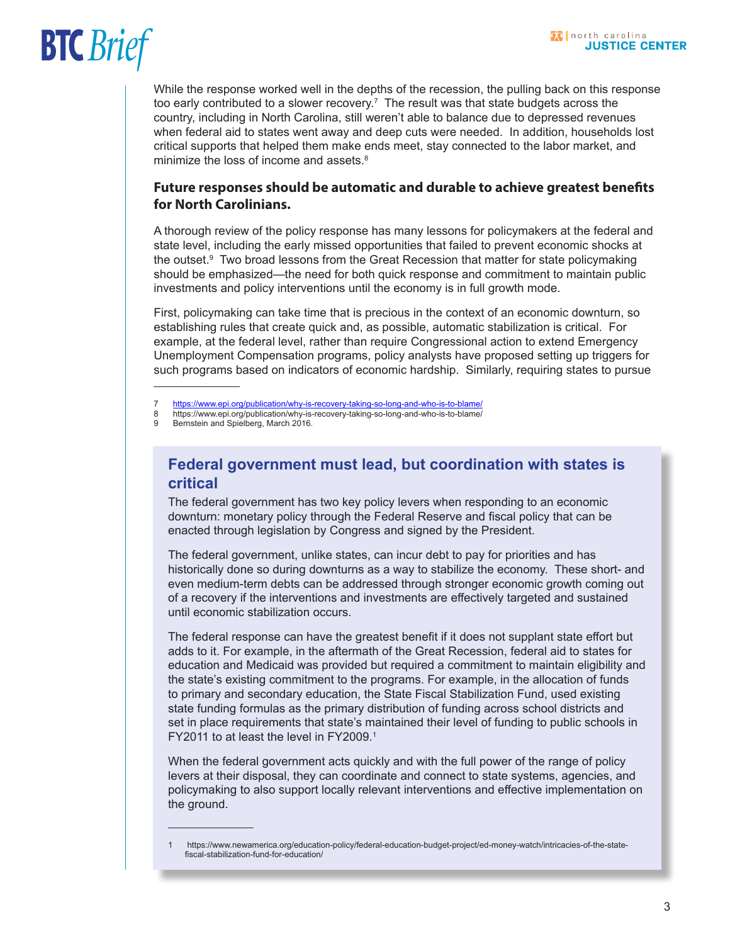While the response worked well in the depths of the recession, the pulling back on this response too early contributed to a slower recovery.<sup>7</sup> The result was that state budgets across the country, including in North Carolina, still weren't able to balance due to depressed revenues when federal aid to states went away and deep cuts were needed. In addition, households lost critical supports that helped them make ends meet, stay connected to the labor market, and minimize the loss of income and assets.<sup>8</sup>

#### **Future responses should be automatic and durable to achieve greatest benefits for North Carolinians.**

A thorough review of the policy response has many lessons for policymakers at the federal and state level, including the early missed opportunities that failed to prevent economic shocks at the outset.<sup>9</sup> Two broad lessons from the Great Recession that matter for state policymaking should be emphasized—the need for both quick response and commitment to maintain public investments and policy interventions until the economy is in full growth mode.

First, policymaking can take time that is precious in the context of an economic downturn, so establishing rules that create quick and, as possible, automatic stabilization is critical. For example, at the federal level, rather than require Congressional action to extend Emergency Unemployment Compensation programs, policy analysts have proposed setting up triggers for such programs based on indicators of economic hardship. Similarly, requiring states to pursue

#### **Federal government must lead, but coordination with states is critical**

The federal government has two key policy levers when responding to an economic downturn: monetary policy through the Federal Reserve and fiscal policy that can be enacted through legislation by Congress and signed by the President.

The federal government, unlike states, can incur debt to pay for priorities and has historically done so during downturns as a way to stabilize the economy. These short- and even medium-term debts can be addressed through stronger economic growth coming out of a recovery if the interventions and investments are effectively targeted and sustained until economic stabilization occurs.

The federal response can have the greatest benefit if it does not supplant state effort but adds to it. For example, in the aftermath of the Great Recession, federal aid to states for education and Medicaid was provided but required a commitment to maintain eligibility and the state's existing commitment to the programs. For example, in the allocation of funds to primary and secondary education, the State Fiscal Stabilization Fund, used existing state funding formulas as the primary distribution of funding across school districts and set in place requirements that state's maintained their level of funding to public schools in FY2011 to at least the level in FY2009.<sup>1</sup>

When the federal government acts quickly and with the full power of the range of policy levers at their disposal, they can coordinate and connect to state systems, agencies, and policymaking to also support locally relevant interventions and effective implementation on the ground.

<sup>7</sup> <https://www.epi.org/publication/why-is-recovery-taking-so-long-and-who-is-to-blame/>

<sup>8</sup> https://www.epi.org/publication/why-is-recovery-taking-so-long-and-who-is-to-blame/<br>9 Bernstein and Spielberg March 2016

<sup>9</sup> Bernstein and Spielberg, March 2016.

<sup>1</sup> https://www.newamerica.org/education-policy/federal-education-budget-project/ed-money-watch/intricacies-of-the-statefiscal-stabilization-fund-for-education/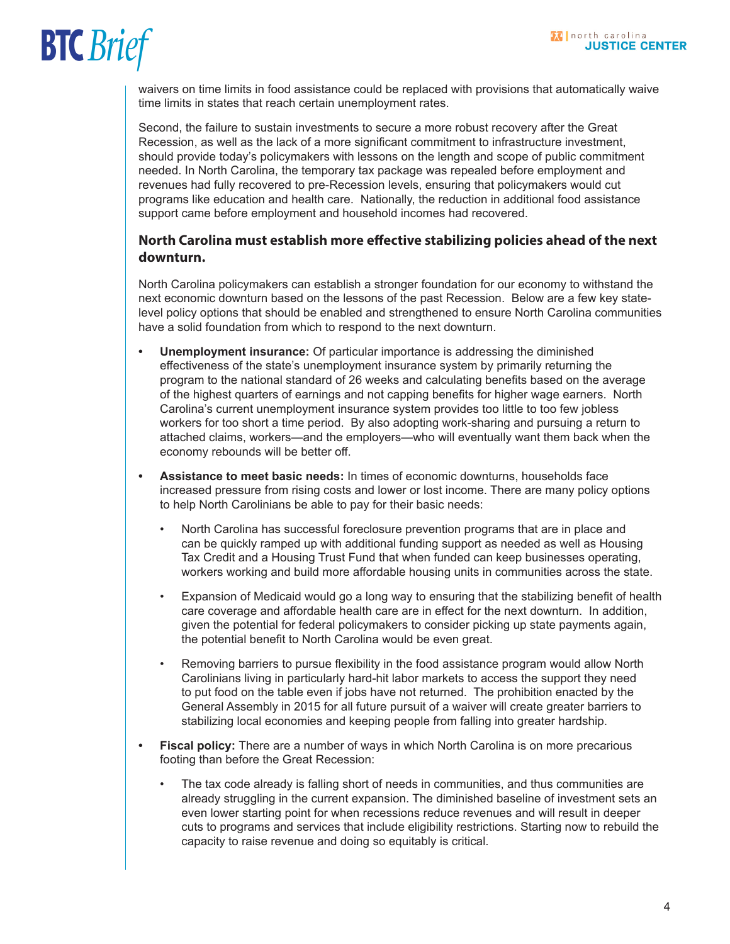waivers on time limits in food assistance could be replaced with provisions that automatically waive time limits in states that reach certain unemployment rates.

Second, the failure to sustain investments to secure a more robust recovery after the Great Recession, as well as the lack of a more significant commitment to infrastructure investment, should provide today's policymakers with lessons on the length and scope of public commitment needed. In North Carolina, the temporary tax package was repealed before employment and revenues had fully recovered to pre-Recession levels, ensuring that policymakers would cut programs like education and health care. Nationally, the reduction in additional food assistance support came before employment and household incomes had recovered.

#### **North Carolina must establish more effective stabilizing policies ahead of the next downturn.**

North Carolina policymakers can establish a stronger foundation for our economy to withstand the next economic downturn based on the lessons of the past Recession. Below are a few key statelevel policy options that should be enabled and strengthened to ensure North Carolina communities have a solid foundation from which to respond to the next downturn.

- **• Unemployment insurance:** Of particular importance is addressing the diminished effectiveness of the state's unemployment insurance system by primarily returning the program to the national standard of 26 weeks and calculating benefits based on the average of the highest quarters of earnings and not capping benefits for higher wage earners. North Carolina's current unemployment insurance system provides too little to too few jobless workers for too short a time period. By also adopting work-sharing and pursuing a return to attached claims, workers—and the employers—who will eventually want them back when the economy rebounds will be better off.
- **• Assistance to meet basic needs:** In times of economic downturns, households face increased pressure from rising costs and lower or lost income. There are many policy options to help North Carolinians be able to pay for their basic needs:
	- North Carolina has successful foreclosure prevention programs that are in place and can be quickly ramped up with additional funding support as needed as well as Housing Tax Credit and a Housing Trust Fund that when funded can keep businesses operating, workers working and build more affordable housing units in communities across the state.
	- Expansion of Medicaid would go a long way to ensuring that the stabilizing benefit of health care coverage and affordable health care are in effect for the next downturn. In addition, given the potential for federal policymakers to consider picking up state payments again, the potential benefit to North Carolina would be even great.
	- Removing barriers to pursue flexibility in the food assistance program would allow North Carolinians living in particularly hard-hit labor markets to access the support they need to put food on the table even if jobs have not returned. The prohibition enacted by the General Assembly in 2015 for all future pursuit of a waiver will create greater barriers to stabilizing local economies and keeping people from falling into greater hardship.
- **• Fiscal policy:** There are a number of ways in which North Carolina is on more precarious footing than before the Great Recession:
	- The tax code already is falling short of needs in communities, and thus communities are already struggling in the current expansion. The diminished baseline of investment sets an even lower starting point for when recessions reduce revenues and will result in deeper cuts to programs and services that include eligibility restrictions. Starting now to rebuild the capacity to raise revenue and doing so equitably is critical.